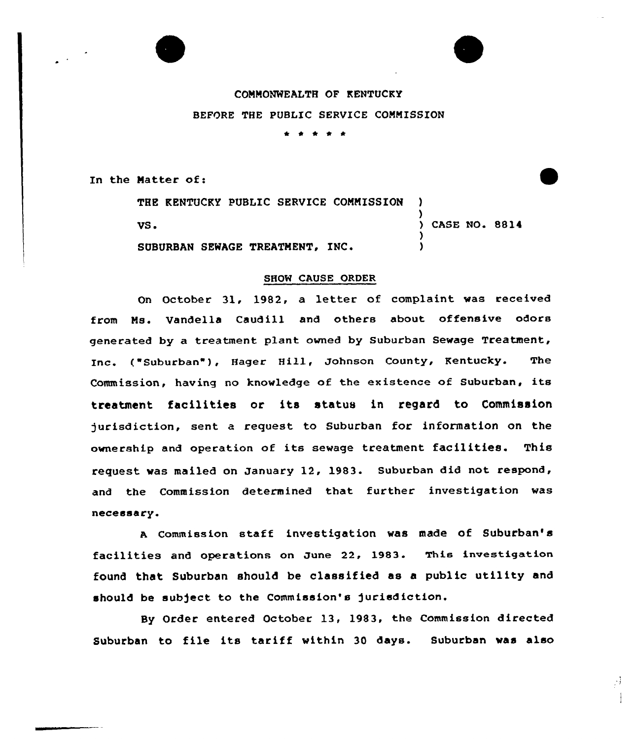## COMMONWEALTH OF KENTUCKY BEFORE THE PUBLIC SERVICE COMMISSION \* <sup>4</sup> \* 4'

In the Matter of:

THE KENTUCKY PUBLIC SERVICE COMMISSION VS. ) ) CASE NO. 8814 )

SUBURBAN SEWAGE TREATMENT, INC.

)

## SHOW CAUSE ORDER

On October 31, 1982, a letter of complaint was received from Ms. Vandella Caudill and others about offensive odors generated by a treatment plant owned by Suburban Sewage Treatment, Inc. ("Suburban"), Hager Hill, Johnson County, Kentucky. The Commission, having no knowledge of the existence of Suburban, its treatment facilities or its status in regard to Commission )urisdiction, sent a request to Suburban for information on the ownership and operation of its sewage treatment facilities. This request was mailed on January 12, 1983. Suburban did not respond, and the Commission determined that further investigation was necessary.

A Commission staff investigation was made of Suburban's facilities and operations on June 22, 1983. This investigation found that Suburban should be classified as a public utility and should be subject to the Commission's jurisdiction.

By Order entered October 13, 1983, the Commission directed Suburban to file its tariff within 30 days. Suburban was also